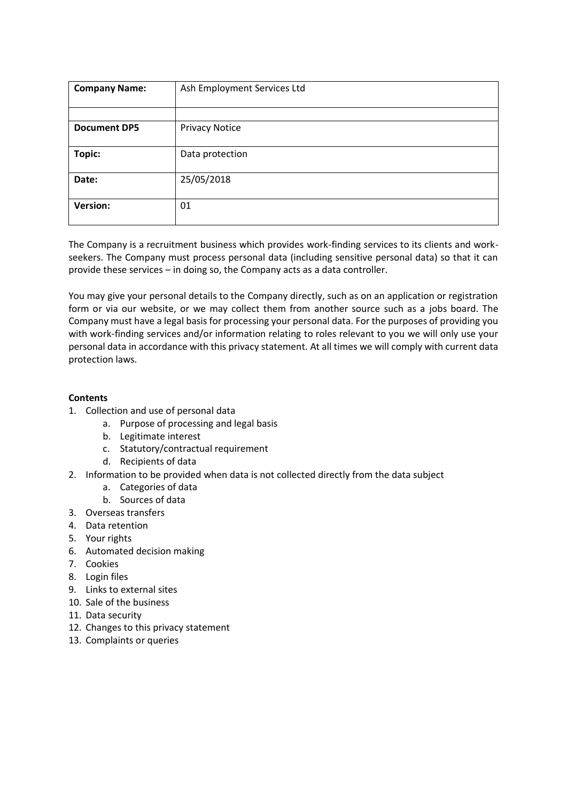| <b>Company Name:</b> | Ash Employment Services Ltd |
|----------------------|-----------------------------|
|                      |                             |
| <b>Document DP5</b>  | <b>Privacy Notice</b>       |
| Topic:               | Data protection             |
| Date:                | 25/05/2018                  |
| <b>Version:</b>      | 01                          |

The Company is a recruitment business which provides work-finding services to its clients and workseekers. The Company must process personal data (including sensitive personal data) so that it can provide these services – in doing so, the Company acts as a data controller.

You may give your personal details to the Company directly, such as on an application or registration form or via our website, or we may collect them from another source such as a jobs board. The Company must have a legal basis for processing your personal data. For the purposes of providing you with work-finding services and/or information relating to roles relevant to you we will only use your personal data in accordance with this privacy statement. At all times we will comply with current data protection laws.

# **Contents**

- 1. Collection and use of personal data
	- a. Purpose of processing and legal basis
	- b. Legitimate interest
	- c. Statutory/contractual requirement
	- d. Recipients of data
- 2. Information to be provided when data is not collected directly from the data subject
	- a. Categories of data
	- b. Sources of data
- 3. Overseas transfers
- 4. Data retention
- 5. Your rights
- 6. Automated decision making
- 7. Cookies
- 8. Login files
- 9. Links to external sites
- 10. Sale of the business
- 11. Data security
- 12. Changes to this privacy statement
- 13. Complaints or queries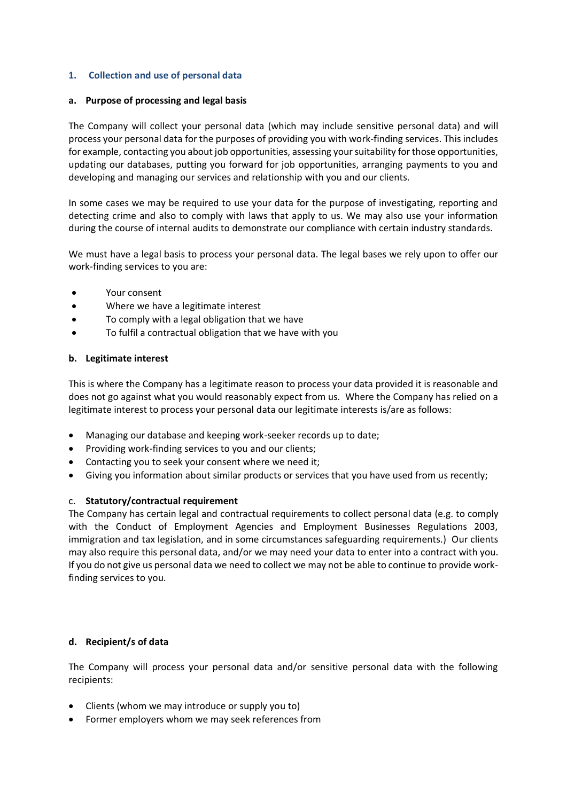## **1. Collection and use of personal data**

## **a. Purpose of processing and legal basis**

The Company will collect your personal data (which may include sensitive personal data) and will process your personal data for the purposes of providing you with work-finding services. This includes for example, contacting you about job opportunities, assessing your suitability for those opportunities, updating our databases, putting you forward for job opportunities, arranging payments to you and developing and managing our services and relationship with you and our clients.

In some cases we may be required to use your data for the purpose of investigating, reporting and detecting crime and also to comply with laws that apply to us. We may also use your information during the course of internal audits to demonstrate our compliance with certain industry standards.

We must have a legal basis to process your personal data. The legal bases we rely upon to offer our work-finding services to you are:

- Your consent
- Where we have a legitimate interest
- To comply with a legal obligation that we have
- To fulfil a contractual obligation that we have with you

## **b. Legitimate interest**

This is where the Company has a legitimate reason to process your data provided it is reasonable and does not go against what you would reasonably expect from us. Where the Company has relied on a legitimate interest to process your personal data our legitimate interests is/are as follows:

- Managing our database and keeping work-seeker records up to date;
- Providing work-finding services to you and our clients;
- Contacting you to seek your consent where we need it;
- Giving you information about similar products or services that you have used from us recently;

# c. **Statutory/contractual requirement**

The Company has certain legal and contractual requirements to collect personal data (e.g. to comply with the Conduct of Employment Agencies and Employment Businesses Regulations 2003, immigration and tax legislation, and in some circumstances safeguarding requirements.) Our clients may also require this personal data, and/or we may need your data to enter into a contract with you. If you do not give us personal data we need to collect we may not be able to continue to provide workfinding services to you.

## **d. Recipient/s of data**

The Company will process your personal data and/or sensitive personal data with the following recipients:

- Clients (whom we may introduce or supply you to)
- Former employers whom we may seek references from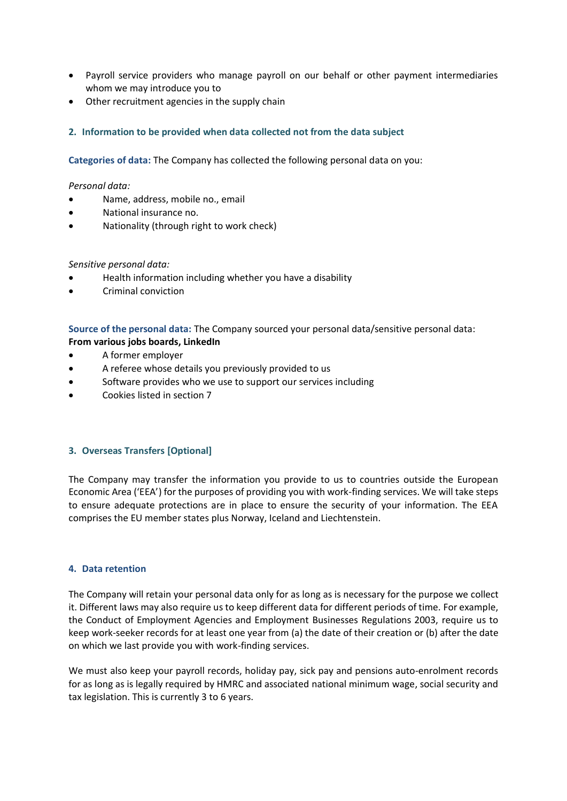- Payroll service providers who manage payroll on our behalf or other payment intermediaries whom we may introduce you to
- Other recruitment agencies in the supply chain

## **2. Information to be provided when data collected not from the data subject**

**Categories of data:** The Company has collected the following personal data on you:

### *Personal data:*

- Name, address, mobile no., email
- National insurance no.
- Nationality (through right to work check)

## *Sensitive personal data:*

- Health information including whether you have a disability
- Criminal conviction

**Source of the personal data:** The Company sourced your personal data/sensitive personal data: **From various jobs boards, LinkedIn**

- A former employer
- A referee whose details you previously provided to us
- Software provides who we use to support our services including
- Cookies listed in section 7

## **3. Overseas Transfers [Optional]**

The Company may transfer the information you provide to us to countries outside the European Economic Area ('EEA') for the purposes of providing you with work-finding services. We will take steps to ensure adequate protections are in place to ensure the security of your information. The EEA comprises the EU member states plus Norway, Iceland and Liechtenstein.

## **4. Data retention**

The Company will retain your personal data only for as long as is necessary for the purpose we collect it. Different laws may also require us to keep different data for different periods of time. For example, the Conduct of Employment Agencies and Employment Businesses Regulations 2003, require us to keep work-seeker records for at least one year from (a) the date of their creation or (b) after the date on which we last provide you with work-finding services.

We must also keep your payroll records, holiday pay, sick pay and pensions auto-enrolment records for as long as is legally required by HMRC and associated national minimum wage, social security and tax legislation. This is currently 3 to 6 years.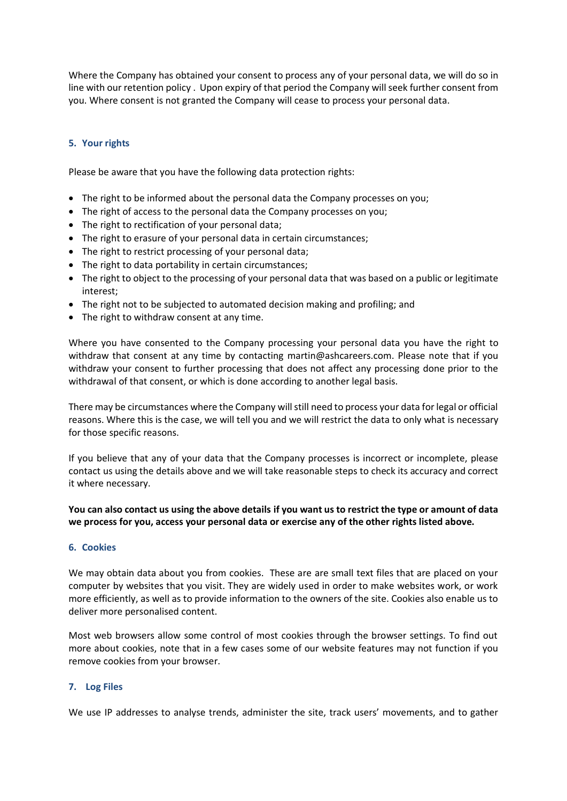Where the Company has obtained your consent to process any of your personal data, we will do so in line with our retention policy . Upon expiry of that period the Company will seek further consent from you. Where consent is not granted the Company will cease to process your personal data.

# **5. Your rights**

Please be aware that you have the following data protection rights:

- The right to be informed about the personal data the Company processes on you;
- The right of access to the personal data the Company processes on you;
- The right to rectification of your personal data;
- The right to erasure of your personal data in certain circumstances;
- The right to restrict processing of your personal data;
- The right to data portability in certain circumstances;
- The right to object to the processing of your personal data that was based on a public or legitimate interest;
- The right not to be subjected to automated decision making and profiling; and
- The right to withdraw consent at any time.

Where you have consented to the Company processing your personal data you have the right to withdraw that consent at any time by contacting martin@ashcareers.com. Please note that if you withdraw your consent to further processing that does not affect any processing done prior to the withdrawal of that consent, or which is done according to another legal basis.

There may be circumstances where the Company will still need to process your data for legal or official reasons. Where this is the case, we will tell you and we will restrict the data to only what is necessary for those specific reasons.

If you believe that any of your data that the Company processes is incorrect or incomplete, please contact us using the details above and we will take reasonable steps to check its accuracy and correct it where necessary.

## **You can also contact us using the above details if you want us to restrict the type or amount of data we process for you, access your personal data or exercise any of the other rights listed above.**

#### **6. Cookies**

We may obtain data about you from cookies. These are are small text files that are placed on your computer by websites that you visit. They are widely used in order to make websites work, or work more efficiently, as well as to provide information to the owners of the site. Cookies also enable us to deliver more personalised content.

Most web browsers allow some control of most cookies through the browser settings. To find out more about cookies, note that in a few cases some of our website features may not function if you remove cookies from your browser.

## **7. Log Files**

We use IP addresses to analyse trends, administer the site, track users' movements, and to gather